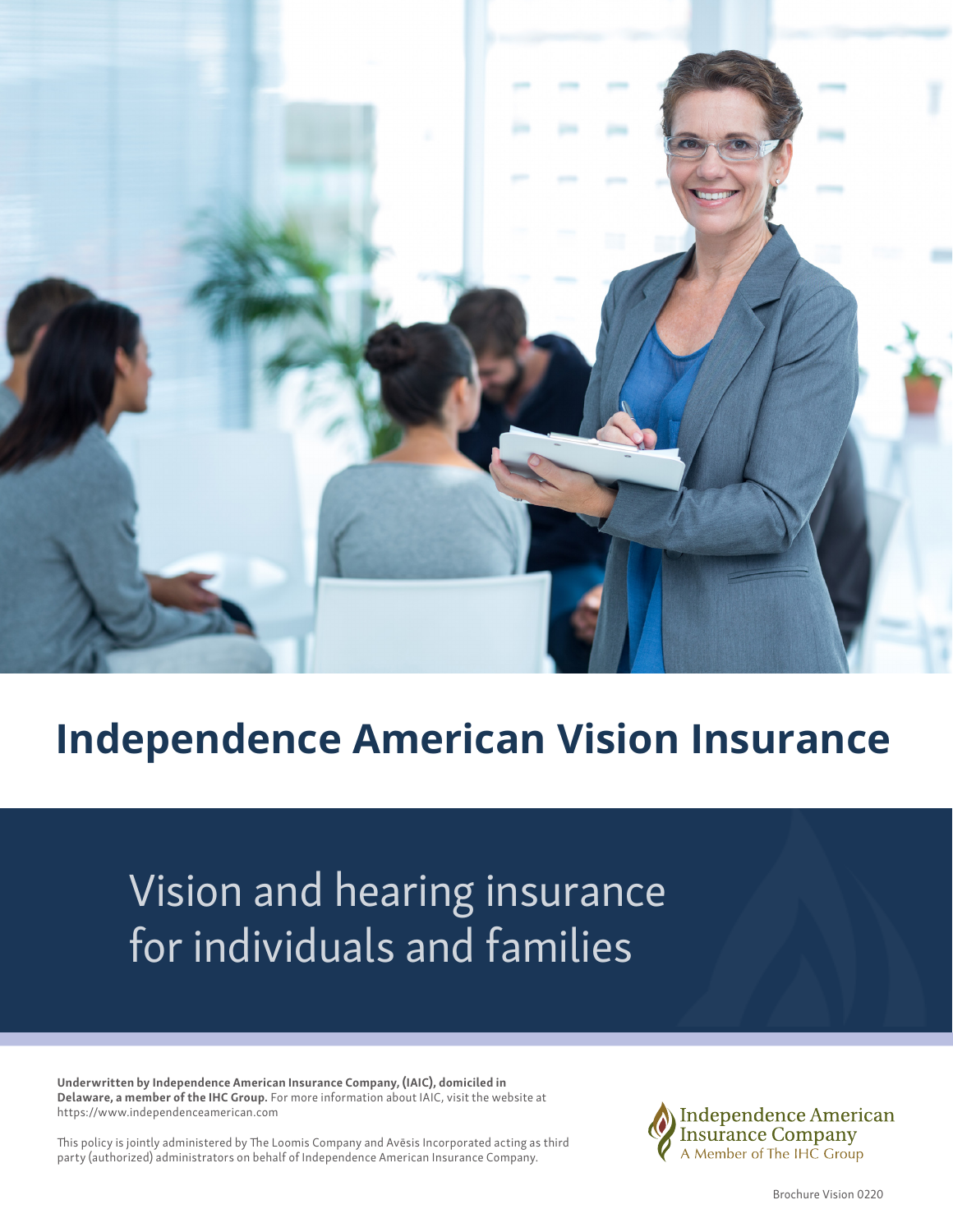

## **Independence American Vision Insurance**

# Vision and hearing insurance for individuals and families

Underwritten by Independence American Insurance Company, (IAIC), domiciled in Delaware, a member of the IHC Group. For more information about IAIC, visit the website at https://www.independenceamerican.com

This policy is jointly administered by The Loomis Company and Avēsis Incorporated acting as third party (authorized) administrators on behalf of Independence American Insurance Company.



Brochure Vision 0220 1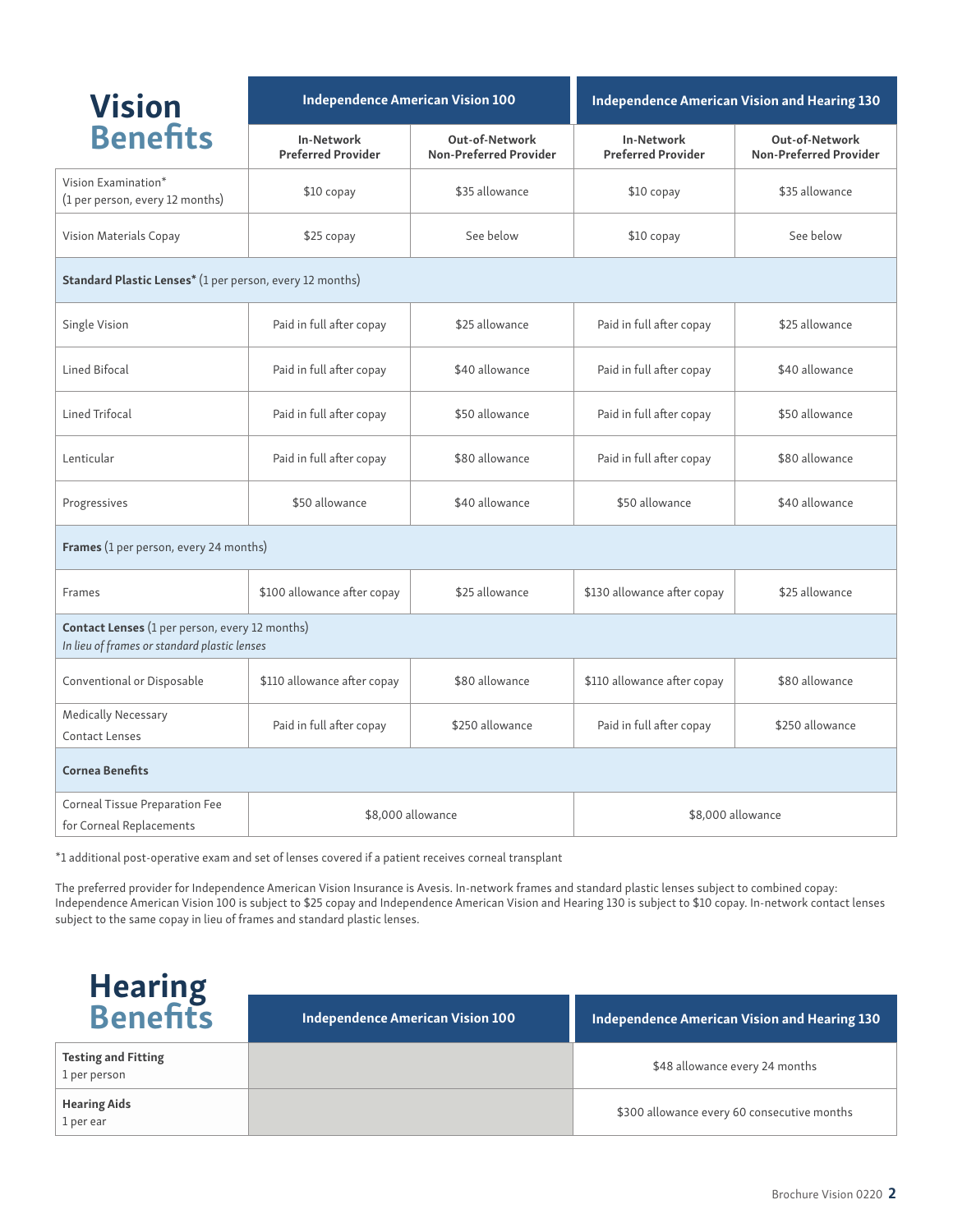| <b>Vision</b><br><b>Benefits</b>                                                                      | Independence American Vision 100               |                                                 | Independence American Vision and Hearing 130   |                                                 |  |
|-------------------------------------------------------------------------------------------------------|------------------------------------------------|-------------------------------------------------|------------------------------------------------|-------------------------------------------------|--|
|                                                                                                       | <b>In-Network</b><br><b>Preferred Provider</b> | Out-of-Network<br><b>Non-Preferred Provider</b> | <b>In-Network</b><br><b>Preferred Provider</b> | Out-of-Network<br><b>Non-Preferred Provider</b> |  |
| Vision Examination*<br>(1 per person, every 12 months)                                                | \$10 copay                                     | \$35 allowance                                  | $$10$ copay                                    | \$35 allowance                                  |  |
| Vision Materials Copay                                                                                | \$25 copay                                     | See below                                       | \$10 copay                                     | See below                                       |  |
| Standard Plastic Lenses* (1 per person, every 12 months)                                              |                                                |                                                 |                                                |                                                 |  |
| Single Vision                                                                                         | Paid in full after copay                       | \$25 allowance                                  | Paid in full after copay                       | \$25 allowance                                  |  |
| Lined Bifocal                                                                                         | Paid in full after copay                       | \$40 allowance                                  | Paid in full after copay                       | \$40 allowance                                  |  |
| Lined Trifocal                                                                                        | Paid in full after copay                       | \$50 allowance                                  | Paid in full after copay                       | \$50 allowance                                  |  |
| Lenticular                                                                                            | Paid in full after copay                       | \$80 allowance                                  | Paid in full after copay                       | \$80 allowance                                  |  |
| Progressives                                                                                          | \$50 allowance                                 | \$40 allowance                                  | \$50 allowance                                 | \$40 allowance                                  |  |
| Frames (1 per person, every 24 months)                                                                |                                                |                                                 |                                                |                                                 |  |
| Frames                                                                                                | \$100 allowance after copay                    | \$25 allowance                                  | \$130 allowance after copay                    | \$25 allowance                                  |  |
| <b>Contact Lenses</b> (1 per person, every 12 months)<br>In lieu of frames or standard plastic lenses |                                                |                                                 |                                                |                                                 |  |
| Conventional or Disposable                                                                            | \$110 allowance after copay                    | \$80 allowance                                  | \$110 allowance after copay                    | \$80 allowance                                  |  |
| <b>Medically Necessary</b><br><b>Contact Lenses</b>                                                   | Paid in full after copay                       | \$250 allowance                                 | Paid in full after copay                       | \$250 allowance                                 |  |
| <b>Cornea Benefits</b>                                                                                |                                                |                                                 |                                                |                                                 |  |
| Corneal Tissue Preparation Fee<br>for Corneal Replacements                                            | \$8,000 allowance                              |                                                 | \$8,000 allowance                              |                                                 |  |

\*1 additional post-operative exam and set of lenses covered if a patient receives corneal transplant

The preferred provider for Independence American Vision Insurance is Avesis. In-network frames and standard plastic lenses subject to combined copay: Independence American Vision 100 is subject to \$25 copay and Independence American Vision and Hearing 130 is subject to \$10 copay. In-network contact lenses subject to the same copay in lieu of frames and standard plastic lenses.

| <b>Hearing<br/>Benefits</b>                | Independence American Vision 100 | Independence American Vision and Hearing 130 |  |
|--------------------------------------------|----------------------------------|----------------------------------------------|--|
| <b>Testing and Fitting</b><br>1 per person |                                  | \$48 allowance every 24 months               |  |
| <b>Hearing Aids</b><br>1 per ear           |                                  | \$300 allowance every 60 consecutive months  |  |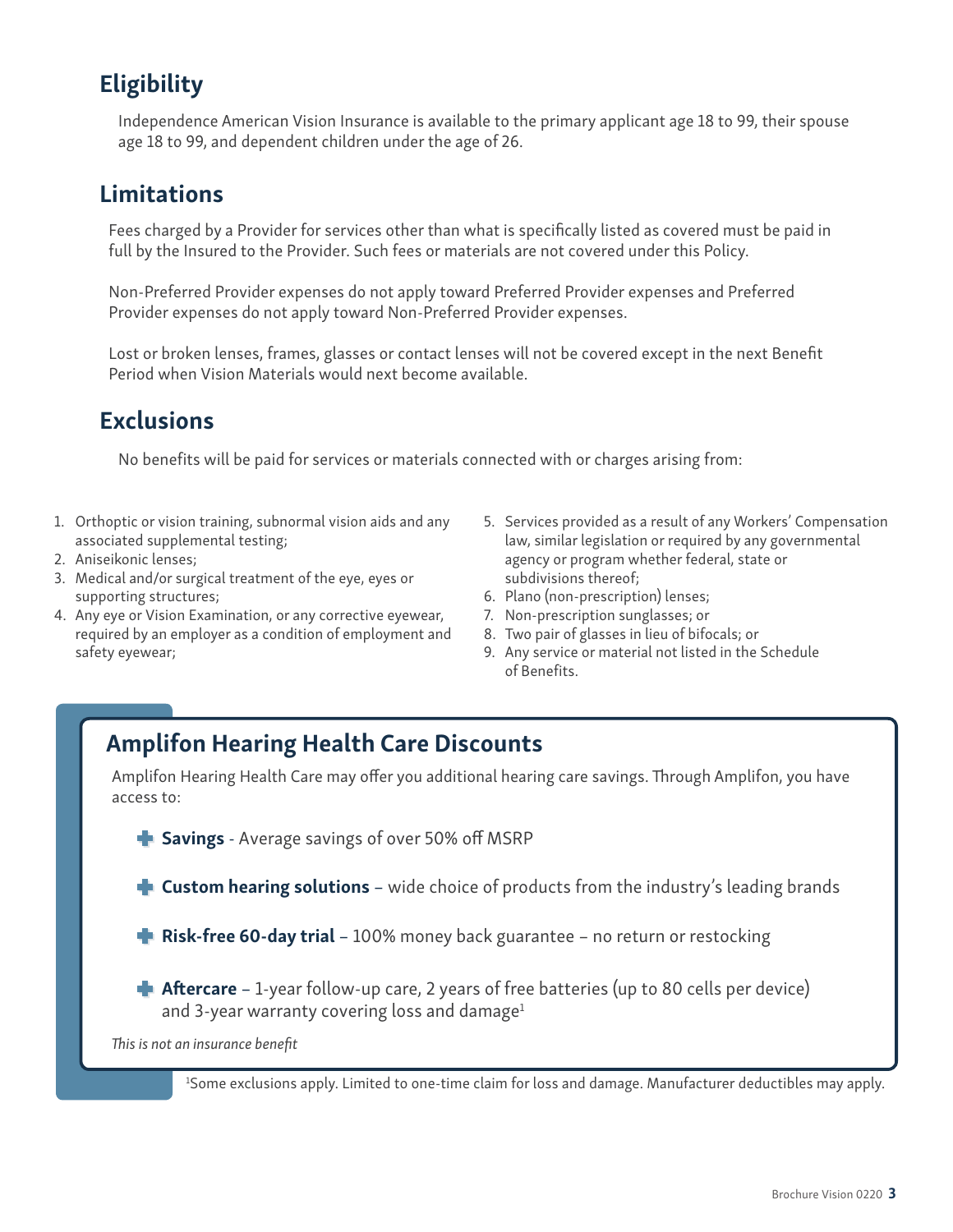### **Eligibility**

Independence American Vision Insurance is available to the primary applicant age 18 to 99, their spouse age 18 to 99, and dependent children under the age of 26.

### **Limitations**

Fees charged by a Provider for services other than what is specifically listed as covered must be paid in full by the Insured to the Provider. Such fees or materials are not covered under this Policy.

Non-Preferred Provider expenses do not apply toward Preferred Provider expenses and Preferred Provider expenses do not apply toward Non-Preferred Provider expenses.

Lost or broken lenses, frames, glasses or contact lenses will not be covered except in the next Benefit Period when Vision Materials would next become available.

### **Exclusions**

No benefits will be paid for services or materials connected with or charges arising from:

- 1. Orthoptic or vision training, subnormal vision aids and any associated supplemental testing;
- 2. Aniseikonic lenses;
- 3. Medical and/or surgical treatment of the eye, eyes or supporting structures;
- 4. Any eye or Vision Examination, or any corrective eyewear, required by an employer as a condition of employment and safety eyewear;
- 5. Services provided as a result of any Workers' Compensation law, similar legislation or required by any governmental agency or program whether federal, state or subdivisions thereof;
- 6. Plano (non-prescription) lenses;
- 7. Non-prescription sunglasses; or
- 8. Two pair of glasses in lieu of bifocals; or
- 9. Any service or material not listed in the Schedule of Benefits.

### Amplifon Hearing Health Care Discounts

Amplifon Hearing Health Care may offer you additional hearing care savings. Through Amplifon, you have access to:

Savings - Average savings of over 50% off MSRP

**Custom hearing solutions** – wide choice of products from the industry's leading brands

**Risk-free 60-day trial** – 100% money back guarantee – no return or restocking

**Aftercare** – 1-year follow-up care, 2 years of free batteries (up to 80 cells per device) and 3-year warranty covering loss and damage $1$ 

*This is not an insurance benefit*

1 Some exclusions apply. Limited to one-time claim for loss and damage. Manufacturer deductibles may apply.